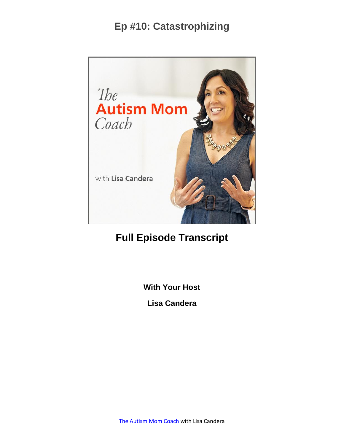

# **Full Episode Transcript**

**With Your Host**

**Lisa Candera**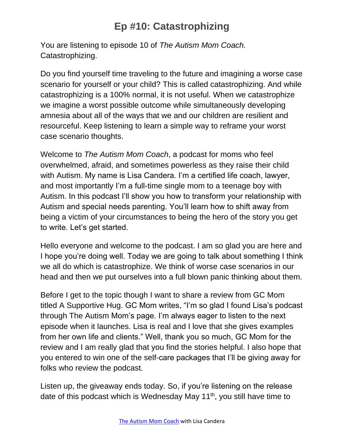You are listening to episode 10 of *The Autism Mom Coach.* Catastrophizing.

Do you find yourself time traveling to the future and imagining a worse case scenario for yourself or your child? This is called catastrophizing. And while catastrophizing is a 100% normal, it is not useful. When we catastrophize we imagine a worst possible outcome while simultaneously developing amnesia about all of the ways that we and our children are resilient and resourceful. Keep listening to learn a simple way to reframe your worst case scenario thoughts.

Welcome to *The Autism Mom Coach*, a podcast for moms who feel overwhelmed, afraid, and sometimes powerless as they raise their child with Autism. My name is Lisa Candera. I'm a certified life coach, lawyer, and most importantly I'm a full-time single mom to a teenage boy with Autism. In this podcast I'll show you how to transform your relationship with Autism and special needs parenting. You'll learn how to shift away from being a victim of your circumstances to being the hero of the story you get to write. Let's get started.

Hello everyone and welcome to the podcast. I am so glad you are here and I hope you're doing well. Today we are going to talk about something I think we all do which is catastrophize. We think of worse case scenarios in our head and then we put ourselves into a full blown panic thinking about them.

Before I get to the topic though I want to share a review from GC Mom titled A Supportive Hug. GC Mom writes, "I'm so glad I found Lisa's podcast through The Autism Mom's page. I'm always eager to listen to the next episode when it launches. Lisa is real and I love that she gives examples from her own life and clients." Well, thank you so much, GC Mom for the review and I am really glad that you find the stories helpful. I also hope that you entered to win one of the self-care packages that I'll be giving away for folks who review the podcast.

Listen up, the giveaway ends today. So, if you're listening on the release date of this podcast which is Wednesday May 11<sup>th</sup>, you still have time to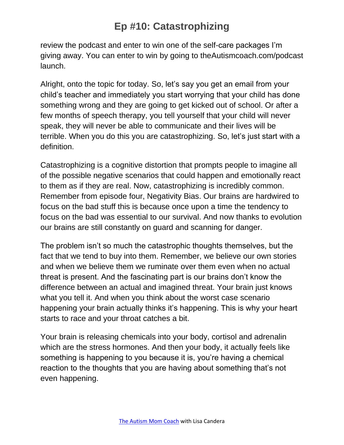review the podcast and enter to win one of the self-care packages I'm giving away. You can enter to win by going to theAutismcoach.com/podcast launch.

Alright, onto the topic for today. So, let's say you get an email from your child's teacher and immediately you start worrying that your child has done something wrong and they are going to get kicked out of school. Or after a few months of speech therapy, you tell yourself that your child will never speak, they will never be able to communicate and their lives will be terrible. When you do this you are catastrophizing. So, let's just start with a definition.

Catastrophizing is a cognitive distortion that prompts people to imagine all of the possible negative scenarios that could happen and emotionally react to them as if they are real. Now, catastrophizing is incredibly common. Remember from episode four, Negativity Bias. Our brains are hardwired to focus on the bad stuff this is because once upon a time the tendency to focus on the bad was essential to our survival. And now thanks to evolution our brains are still constantly on guard and scanning for danger.

The problem isn't so much the catastrophic thoughts themselves, but the fact that we tend to buy into them. Remember, we believe our own stories and when we believe them we ruminate over them even when no actual threat is present. And the fascinating part is our brains don't know the difference between an actual and imagined threat. Your brain just knows what you tell it. And when you think about the worst case scenario happening your brain actually thinks it's happening. This is why your heart starts to race and your throat catches a bit.

Your brain is releasing chemicals into your body, cortisol and adrenalin which are the stress hormones. And then your body, it actually feels like something is happening to you because it is, you're having a chemical reaction to the thoughts that you are having about something that's not even happening.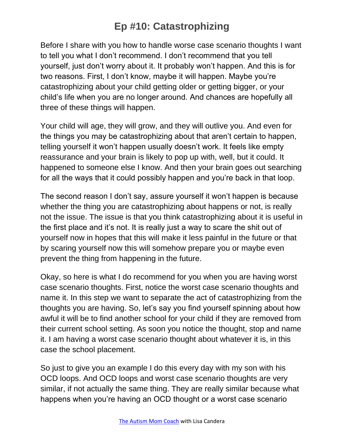Before I share with you how to handle worse case scenario thoughts I want to tell you what I don't recommend. I don't recommend that you tell yourself, just don't worry about it. It probably won't happen. And this is for two reasons. First, I don't know, maybe it will happen. Maybe you're catastrophizing about your child getting older or getting bigger, or your child's life when you are no longer around. And chances are hopefully all three of these things will happen.

Your child will age, they will grow, and they will outlive you. And even for the things you may be catastrophizing about that aren't certain to happen, telling yourself it won't happen usually doesn't work. It feels like empty reassurance and your brain is likely to pop up with, well, but it could. It happened to someone else I know. And then your brain goes out searching for all the ways that it could possibly happen and you're back in that loop.

The second reason I don't say, assure yourself it won't happen is because whether the thing you are catastrophizing about happens or not, is really not the issue. The issue is that you think catastrophizing about it is useful in the first place and it's not. It is really just a way to scare the shit out of yourself now in hopes that this will make it less painful in the future or that by scaring yourself now this will somehow prepare you or maybe even prevent the thing from happening in the future.

Okay, so here is what I do recommend for you when you are having worst case scenario thoughts. First, notice the worst case scenario thoughts and name it. In this step we want to separate the act of catastrophizing from the thoughts you are having. So, let's say you find yourself spinning about how awful it will be to find another school for your child if they are removed from their current school setting. As soon you notice the thought, stop and name it. I am having a worst case scenario thought about whatever it is, in this case the school placement.

So just to give you an example I do this every day with my son with his OCD loops. And OCD loops and worst case scenario thoughts are very similar, if not actually the same thing. They are really similar because what happens when you're having an OCD thought or a worst case scenario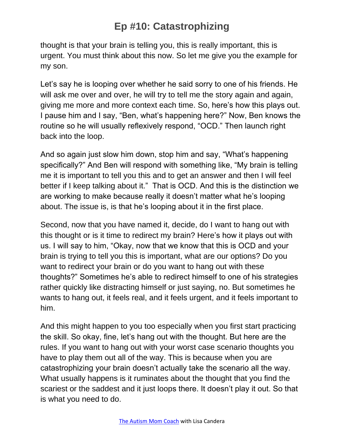thought is that your brain is telling you, this is really important, this is urgent. You must think about this now. So let me give you the example for my son.

Let's say he is looping over whether he said sorry to one of his friends. He will ask me over and over, he will try to tell me the story again and again, giving me more and more context each time. So, here's how this plays out. I pause him and I say, "Ben, what's happening here?" Now, Ben knows the routine so he will usually reflexively respond, "OCD." Then launch right back into the loop.

And so again just slow him down, stop him and say, "What's happening specifically?" And Ben will respond with something like, "My brain is telling me it is important to tell you this and to get an answer and then I will feel better if I keep talking about it." That is OCD. And this is the distinction we are working to make because really it doesn't matter what he's looping about. The issue is, is that he's looping about it in the first place.

Second, now that you have named it, decide, do I want to hang out with this thought or is it time to redirect my brain? Here's how it plays out with us. I will say to him, "Okay, now that we know that this is OCD and your brain is trying to tell you this is important, what are our options? Do you want to redirect your brain or do you want to hang out with these thoughts?" Sometimes he's able to redirect himself to one of his strategies rather quickly like distracting himself or just saying, no. But sometimes he wants to hang out, it feels real, and it feels urgent, and it feels important to him.

And this might happen to you too especially when you first start practicing the skill. So okay, fine, let's hang out with the thought. But here are the rules. If you want to hang out with your worst case scenario thoughts you have to play them out all of the way. This is because when you are catastrophizing your brain doesn't actually take the scenario all the way. What usually happens is it ruminates about the thought that you find the scariest or the saddest and it just loops there. It doesn't play it out. So that is what you need to do.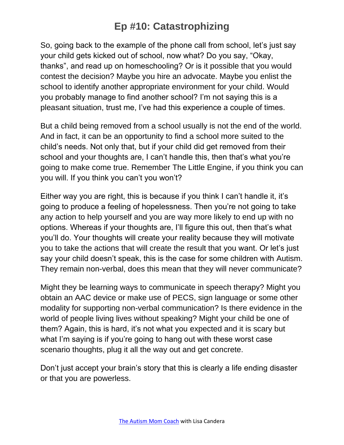So, going back to the example of the phone call from school, let's just say your child gets kicked out of school, now what? Do you say, "Okay, thanks", and read up on homeschooling? Or is it possible that you would contest the decision? Maybe you hire an advocate. Maybe you enlist the school to identify another appropriate environment for your child. Would you probably manage to find another school? I'm not saying this is a pleasant situation, trust me, I've had this experience a couple of times.

But a child being removed from a school usually is not the end of the world. And in fact, it can be an opportunity to find a school more suited to the child's needs. Not only that, but if your child did get removed from their school and your thoughts are, I can't handle this, then that's what you're going to make come true. Remember The Little Engine, if you think you can you will. If you think you can't you won't?

Either way you are right, this is because if you think I can't handle it, it's going to produce a feeling of hopelessness. Then you're not going to take any action to help yourself and you are way more likely to end up with no options. Whereas if your thoughts are, I'll figure this out, then that's what you'll do. Your thoughts will create your reality because they will motivate you to take the actions that will create the result that you want. Or let's just say your child doesn't speak, this is the case for some children with Autism. They remain non-verbal, does this mean that they will never communicate?

Might they be learning ways to communicate in speech therapy? Might you obtain an AAC device or make use of PECS, sign language or some other modality for supporting non-verbal communication? Is there evidence in the world of people living lives without speaking? Might your child be one of them? Again, this is hard, it's not what you expected and it is scary but what I'm saying is if you're going to hang out with these worst case scenario thoughts, plug it all the way out and get concrete.

Don't just accept your brain's story that this is clearly a life ending disaster or that you are powerless.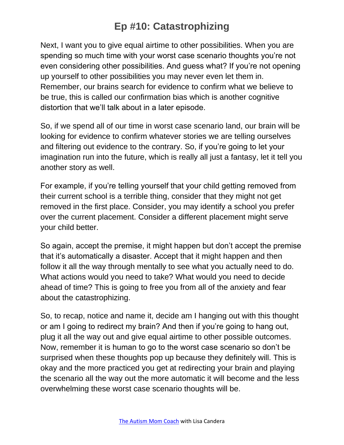Next, I want you to give equal airtime to other possibilities. When you are spending so much time with your worst case scenario thoughts you're not even considering other possibilities. And guess what? If you're not opening up yourself to other possibilities you may never even let them in. Remember, our brains search for evidence to confirm what we believe to be true, this is called our confirmation bias which is another cognitive distortion that we'll talk about in a later episode.

So, if we spend all of our time in worst case scenario land, our brain will be looking for evidence to confirm whatever stories we are telling ourselves and filtering out evidence to the contrary. So, if you're going to let your imagination run into the future, which is really all just a fantasy, let it tell you another story as well.

For example, if you're telling yourself that your child getting removed from their current school is a terrible thing, consider that they might not get removed in the first place. Consider, you may identify a school you prefer over the current placement. Consider a different placement might serve your child better.

So again, accept the premise, it might happen but don't accept the premise that it's automatically a disaster. Accept that it might happen and then follow it all the way through mentally to see what you actually need to do. What actions would you need to take? What would you need to decide ahead of time? This is going to free you from all of the anxiety and fear about the catastrophizing.

So, to recap, notice and name it, decide am I hanging out with this thought or am I going to redirect my brain? And then if you're going to hang out, plug it all the way out and give equal airtime to other possible outcomes. Now, remember it is human to go to the worst case scenario so don't be surprised when these thoughts pop up because they definitely will. This is okay and the more practiced you get at redirecting your brain and playing the scenario all the way out the more automatic it will become and the less overwhelming these worst case scenario thoughts will be.